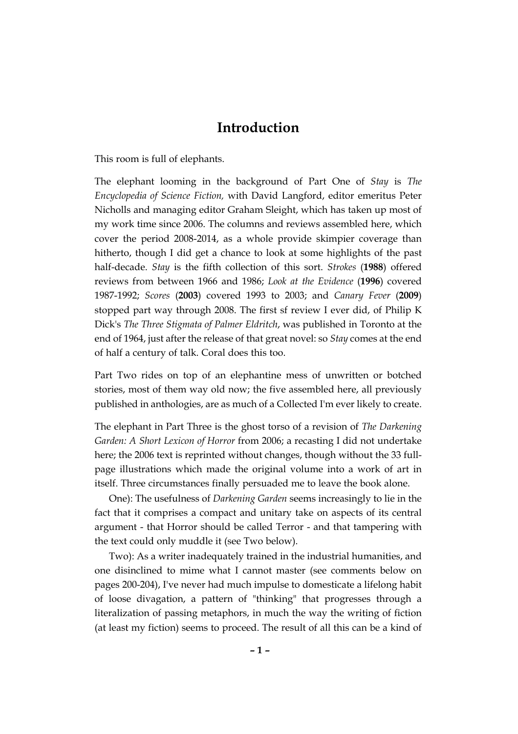## **Introduction**

This room is full of elephants.

The elephant looming in the background of Part One of *Stay* is *The Encyclopedia of Science Fiction,* with David Langford, editor emeritus Peter Nicholls and managing editor Graham Sleight, which has taken up most of my work time since 2006. The columns and reviews assembled here, which cover the period 2008-2014, as a whole provide skimpier coverage than hitherto, though I did get a chance to look at some highlights of the past half-decade. *Stay* is the fifth collection of this sort. *Strokes* (**1988**) offered reviews from between 1966 and 1986; *Look at the Evidence* (**1996**) covered 1987-1992; *Scores* (**2003**) covered 1993 to 2003; and *Canary Fever* (**2009**) stopped part way through 2008. The first sf review I ever did, of Philip K Dick's *The Three Stigmata of Palmer Eldritch*, was published in Toronto at the end of 1964, just after the release of that great novel: so *Stay* comes at the end of half a century of talk. Coral does this too.

Part Two rides on top of an elephantine mess of unwritten or botched stories, most of them way old now; the five assembled here, all previously published in anthologies, are as much of a Collected I'm ever likely to create.

The elephant in Part Three is the ghost torso of a revision of *The Darkening Garden: A Short Lexicon of Horror* from 2006; a recasting I did not undertake here; the 2006 text is reprinted without changes, though without the 33 fullpage illustrations which made the original volume into a work of art in itself. Three circumstances finally persuaded me to leave the book alone.

One): The usefulness of *Darkening Garden* seems increasingly to lie in the fact that it comprises a compact and unitary take on aspects of its central argument - that Horror should be called Terror - and that tampering with the text could only muddle it (see Two below).

Two): As a writer inadequately trained in the industrial humanities, and one disinclined to mime what I cannot master (see comments below on pages 200-204), I've never had much impulse to domesticate a lifelong habit of loose divagation, a pattern of "thinking" that progresses through a literalization of passing metaphors, in much the way the writing of fiction (at least my fiction) seems to proceed. The result of all this can be a kind of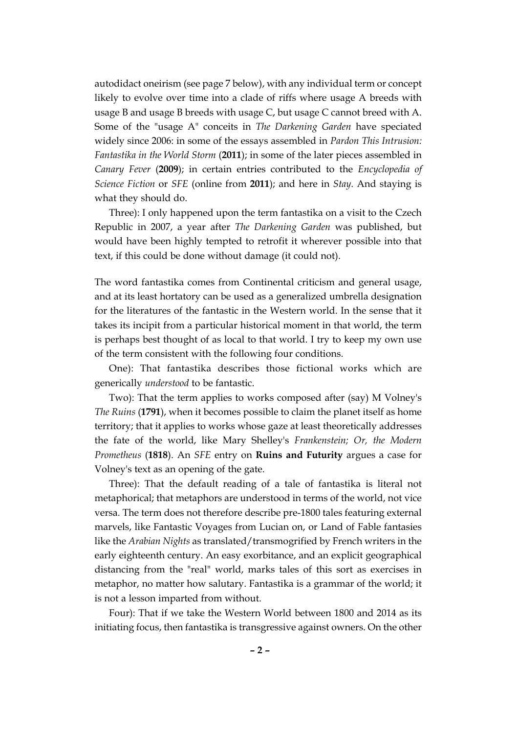autodidact oneirism (see page 7 below), with any individual term or concept likely to evolve over time into a clade of riffs where usage A breeds with usage B and usage B breeds with usage C, but usage C cannot breed with A. Some of the "usage A" conceits in *The Darkening Garden* have speciated widely since 2006: in some of the essays assembled in *Pardon This Intrusion: Fantastika in the World Storm* (**2011**); in some of the later pieces assembled in *Canary Fever* (**2009**); in certain entries contributed to the *Encyclopedia of Science Fiction* or *SFE* (online from **2011**); and here in *Stay*. And staying is what they should do.

Three): I only happened upon the term fantastika on a visit to the Czech Republic in 2007, a year after *The Darkening Garden* was published, but would have been highly tempted to retrofit it wherever possible into that text, if this could be done without damage (it could not).

The word fantastika comes from Continental criticism and general usage, and at its least hortatory can be used as a generalized umbrella designation for the literatures of the fantastic in the Western world. In the sense that it takes its incipit from a particular historical moment in that world, the term is perhaps best thought of as local to that world. I try to keep my own use of the term consistent with the following four conditions.

One): That fantastika describes those fictional works which are generically *understood* to be fantastic.

Two): That the term applies to works composed after (say) M Volney's *The Ruins* (**1791**), when it becomes possible to claim the planet itself as home territory; that it applies to works whose gaze at least theoretically addresses the fate of the world, like Mary Shelley's *Frankenstein; Or, the Modern Prometheus* (**1818**). An *SFE* entry on **Ruins and Futurity** argues a case for Volney's text as an opening of the gate.

Three): That the default reading of a tale of fantastika is literal not metaphorical; that metaphors are understood in terms of the world, not vice versa. The term does not therefore describe pre-1800 tales featuring external marvels, like Fantastic Voyages from Lucian on, or Land of Fable fantasies like the *Arabian Nights* as translated/transmogrified by French writers in the early eighteenth century. An easy exorbitance, and an explicit geographical distancing from the "real" world, marks tales of this sort as exercises in metaphor, no matter how salutary. Fantastika is a grammar of the world; it is not a lesson imparted from without.

Four): That if we take the Western World between 1800 and 2014 as its initiating focus, then fantastika is transgressive against owners. On the other